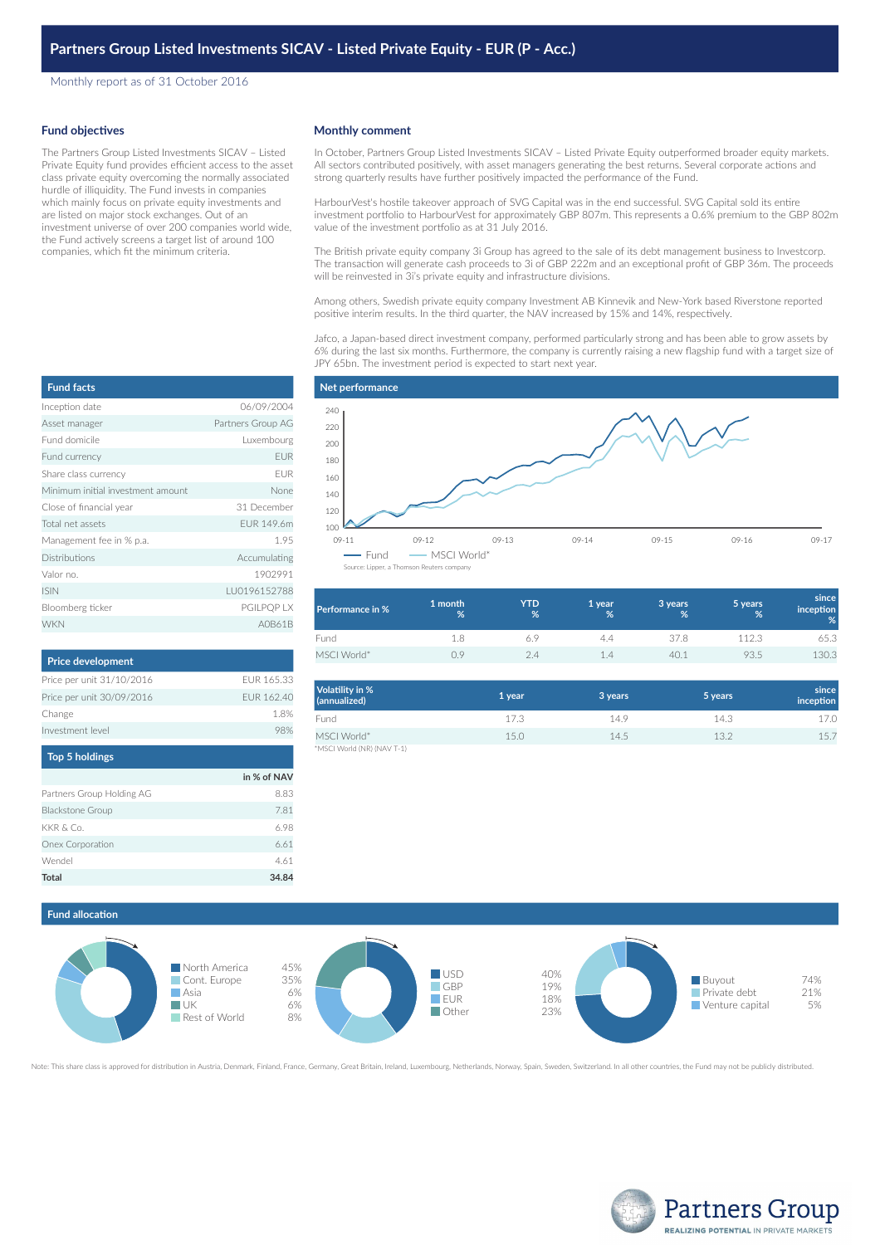Monthly report as of 31 October 2016

#### **Fund objectives**

The Partners Group Listed Investments SICAV – Listed Private Equity fund provides efficient access to the asset class private equity overcoming the normally associated hurdle of illiquidity. The Fund invests in companies which mainly focus on private equity investments and are listed on major stock exchanges. Out of an investment universe of over 200 companies world wide, the Fund actively screens a target list of around 100 companies, which fit the minimum criteria.

#### **Monthly comment**

In October, Partners Group Listed Investments SICAV – Listed Private Equity outperformed broader equity markets. All sectors contributed positively, with asset managers generating the best returns. Several corporate actions and strong quarterly results have further positively impacted the performance of the Fund.

HarbourVest's hostile takeover approach of SVG Capital was in the end successful. SVG Capital sold its entire investment portfolio to HarbourVest for approximately GBP 807m. This represents a 0.6% premium to the GBP 802m value of the investment portfolio as at 31 July 2016.

The British private equity company 3i Group has agreed to the sale of its debt management business to Investcorp. The transaction will generate cash proceeds to 3i of GBP 222m and an exceptional profit of GBP 36m. The proceeds will be reinvested in 3i's private equity and infrastructure divisions.

Among others, Swedish private equity company Investment AB Kinnevik and New-York based Riverstone reported positive interim results. In the third quarter, the NAV increased by 15% and 14%, respectively.

Jafco, a Japan-based direct investment company, performed particularly strong and has been able to grow assets by 6% during the last six months. Furthermore, the company is currently raising a new flagship fund with a target size of JPY 65bn. The investment period is expected to start next year.

| <b>Fund facts</b>                 |                   |
|-----------------------------------|-------------------|
| Inception date                    | 06/09/2004        |
| Asset manager                     | Partners Group AG |
| Fund domicile                     | Luxembourg        |
| Fund currency                     | <b>EUR</b>        |
| Share class currency              | <b>FUR</b>        |
| Minimum initial investment amount | None              |
| Close of financial year           | 31 December       |
| Total net assets                  | FUR 149.6m        |
| Management fee in % p.a.          | 1.95              |
| <b>Distributions</b>              | Accumulating      |
| Valor no.                         | 1902991           |
| <b>ISIN</b>                       | LU0196152788      |
| Bloomberg ticker                  | PGILPQP LX        |
| <b>WKN</b>                        | A0B61B            |

| <b>Price development</b>  |            |
|---------------------------|------------|
| Price per unit 31/10/2016 | FUR 165.33 |
| Price per unit 30/09/2016 | FUR 162.40 |
| Change                    | 18%        |
| Investment level          | 98%        |
|                           |            |

| <b>Top 5 holdings</b>     |             |
|---------------------------|-------------|
|                           | in % of NAV |
| Partners Group Holding AG | 8.83        |
| <b>Blackstone Group</b>   | 7.81        |
| KKR & Co.                 | 6.98        |
| Onex Corporation          | 6.61        |
| Wendel                    | 4.61        |
| Total                     | 34.84       |



| Performance in % | 1 month<br>% | <b>YTD</b><br>% | '1 year.<br>% | 3 years<br>% | 5 years<br>% | since<br><i>inception</i><br>% |
|------------------|--------------|-----------------|---------------|--------------|--------------|--------------------------------|
| Fund             | 1.8          |                 | 4.4           | 37.8         | 112.3        | 65.3                           |
| MSCI World*      | 0.9          | 2.4             | 1.4           | 40.1         | 93.5         | 130.3                          |

| Volatility in %<br>(annualized) | 1 year | 3 years | 5 years | since<br>inception |
|---------------------------------|--------|---------|---------|--------------------|
| Fund                            | 17.3   | 14.9    | 14.3    | 17.0               |
| MSCI World*                     | 15.0   | 14.5    | 13.2    | 15.7               |
| *MSCI World (NR) (NAV T-1)      |        |         |         |                    |

## **Fund allocation**



Note: This share class is approved for distribution in Austria, Denmark, Finland, France, Germany, Great Britain, Ireland, Luxembourg, Netherlands, Norway, Spain, Sweden, Switzerland. In all other countries, the Fund may n